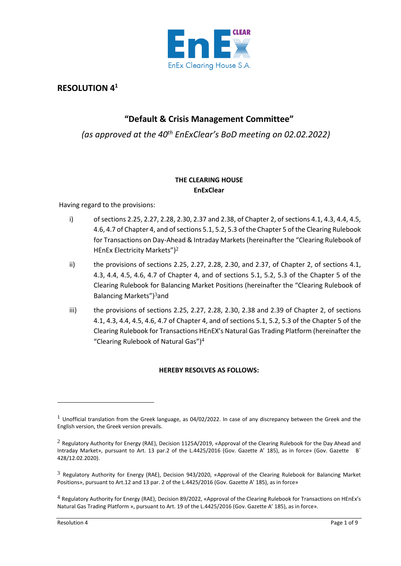

# **RESOLUTION 4<sup>1</sup>**

## **"Default & Crisis Management Committee"**

*(as approved at the 40th EnExClear's BoD meeting on 02.02.2022)*

## **THE CLEARING HOUSE EnExClear**

Having regard to the provisions:

- i) of sections 2.25, 2.27, 2.28, 2.30, 2.37 and 2.38, of Chapter 2, of sections 4.1, 4.3, 4.4, 4.5, 4.6, 4.7 of Chapter 4, and of sections 5.1, 5.2, 5.3 of the Chapter 5 of the Clearing Rulebook for Transactions on Day-Ahead & Intraday Markets (hereinafter the "Clearing Rulebook of HEnEx Electricity Markets")<sup>2</sup>
- ii) the provisions of sections 2.25, 2.27, 2.28, 2.30, and 2.37, of Chapter 2, of sections 4.1, 4.3, 4.4, 4.5, 4.6, 4.7 of Chapter 4, and of sections 5.1, 5.2, 5.3 of the Chapter 5 of the Clearing Rulebook for Balancing Market Positions (hereinafter the "Clearing Rulebook of Balancing Markets") <sup>3</sup>and
- iii) the provisions of sections 2.25, 2.27, 2.28, 2.30, 2.38 and 2.39 of Chapter 2, of sections 4.1, 4.3, 4.4, 4.5, 4.6, 4.7 of Chapter 4, and of sections 5.1, 5.2, 5.3 of the Chapter 5 of the Clearing Rulebook for Transactions HEnEX's Natural Gas Trading Platform (hereinafter the "Clearing Rulebook of Natural Gas") 4

## **HEREBY RESOLVES AS FOLLOWS:**

 $1$  Unofficial translation from the Greek language, as 04/02/2022. In case of any discrepancy between the Greek and the English version, the Greek version prevails.

<sup>&</sup>lt;sup>2</sup> Regulatory Authority for Energy (RAE), Decision 1125A/2019, «Approval of the Clearing Rulebook for the Day Ahead and Intraday Market», pursuant to Art. 13 par.2 of the L.4425/2016 (Gov. Gazette Α' 185), as in force» (Gov. Gazette Β΄ 428/12.02.2020).

 $3$  Regulatory Authority for Energy (RAE), Decision 943/2020, «Approval of the Clearing Rulebook for Balancing Market Positions», pursuant to Art.12 and 13 par. 2 of the L.4425/2016 (Gov. Gazette Α' 185), as in force»

<sup>4</sup> Regulatory Authority for Energy (RAE), Decision 89/2022, «Approval of the Clearing Rulebook for Transactions on HEnEx's Natural Gas Trading Platform », pursuant to Art. 19 of the L.4425/2016 (Gov. Gazette Α' 185), as in force».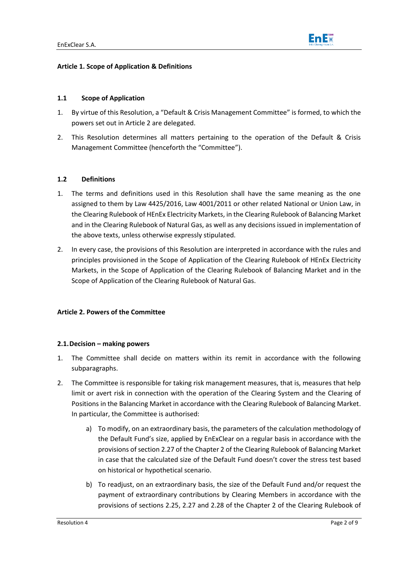## **Article 1. Scope of Application & Definitions**

### **1.1 Scope of Application**

- 1. By virtue of this Resolution, a "Default & Crisis Management Committee" is formed, to which the powers set out in Article 2 are delegated.
- 2. This Resolution determines all matters pertaining to the operation of the Default & Crisis Management Committee (henceforth the "Committee").

## **1.2 Definitions**

- 1. The terms and definitions used in this Resolution shall have the same meaning as the one assigned to them by Law 4425/2016, Law 4001/2011 or other related National or Union Law, in the Clearing Rulebook of HEnEx Electricity Markets, in the Clearing Rulebook of Balancing Market and in the Clearing Rulebook of Natural Gas, as well as any decisions issued in implementation of the above texts, unless otherwise expressly stipulated.
- 2. In every case, the provisions of this Resolution are interpreted in accordance with the rules and principles provisioned in the Scope of Application of the Clearing Rulebook of HEnEx Electricity Markets, in the Scope of Application of the Clearing Rulebook of Balancing Market and in the Scope of Application of the Clearing Rulebook of Natural Gas.

## **Article 2. Powers of the Committee**

#### **2.1.Decision – making powers**

- 1. The Committee shall decide on matters within its remit in accordance with the following subparagraphs.
- 2. The Committee is responsible for taking risk management measures, that is, measures that help limit or avert risk in connection with the operation of the Clearing System and the Clearing of Positions in the Balancing Market in accordance with the Clearing Rulebook of Balancing Market. In particular, the Committee is authorised:
	- a) To modify, on an extraordinary basis, the parameters of the calculation methodology of the Default Fund's size, applied by EnExClear on a regular basis in accordance with the provisions of section 2.27 of the Chapter 2 of the Clearing Rulebook of Balancing Market in case that the calculated size of the Default Fund doesn't cover the stress test based on historical or hypothetical scenario.
	- b) To readjust, on an extraordinary basis, the size of the Default Fund and/or request the payment of extraordinary contributions by Clearing Members in accordance with the provisions of sections 2.25, 2.27 and 2.28 of the Chapter 2 of the Clearing Rulebook of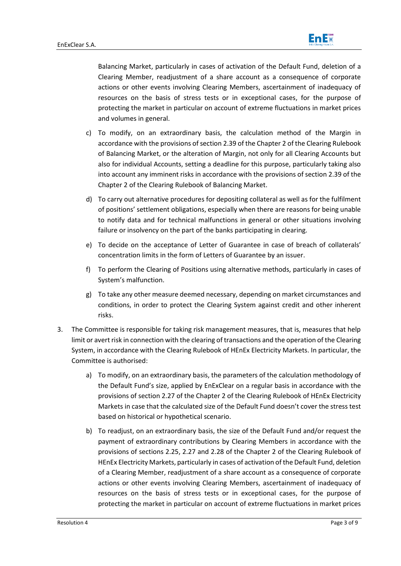

Balancing Market, particularly in cases of activation of the Default Fund, deletion of a Clearing Member, readjustment of a share account as a consequence of corporate actions or other events involving Clearing Members, ascertainment of inadequacy of resources on the basis of stress tests or in exceptional cases, for the purpose of protecting the market in particular on account of extreme fluctuations in market prices and volumes in general.

- c) To modify, on an extraordinary basis, the calculation method of the Margin in accordance with the provisions of section 2.39 of the Chapter 2 of the Clearing Rulebook of Balancing Market, or the alteration of Margin, not only for all Clearing Accounts but also for individual Accounts, setting a deadline for this purpose, particularly taking also into account any imminent risks in accordance with the provisions of section 2.39 of the Chapter 2 of the Clearing Rulebook of Balancing Market.
- d) To carry out alternative procedures for depositing collateral as well as for the fulfilment of positions' settlement obligations, especially when there are reasons for being unable to notify data and for technical malfunctions in general or other situations involving failure or insolvency on the part of the banks participating in clearing.
- e) To decide on the acceptance of Letter of Guarantee in case of breach of collaterals' concentration limits in the form of Letters of Guarantee by an issuer.
- f) To perform the Clearing of Positions using alternative methods, particularly in cases of System's malfunction.
- g) To take any other measure deemed necessary, depending on market circumstances and conditions, in order to protect the Clearing System against credit and other inherent risks.
- 3. The Committee is responsible for taking risk management measures, that is, measures that help limit or avert risk in connection with the clearing of transactions and the operation of the Clearing System, in accordance with the Clearing Rulebook of HEnEx Electricity Markets. In particular, the Committee is authorised:
	- a) To modify, on an extraordinary basis, the parameters of the calculation methodology of the Default Fund's size, applied by EnExClear on a regular basis in accordance with the provisions of section 2.27 of the Chapter 2 of the Clearing Rulebook of HEnEx Electricity Markets in case that the calculated size of the Default Fund doesn't cover the stress test based on historical or hypothetical scenario.
	- b) To readjust, on an extraordinary basis, the size of the Default Fund and/or request the payment of extraordinary contributions by Clearing Members in accordance with the provisions of sections 2.25, 2.27 and 2.28 of the Chapter 2 of the Clearing Rulebook of HEnEx Electricity Markets, particularly in cases of activation of the Default Fund, deletion of a Clearing Member, readjustment of a share account as a consequence of corporate actions or other events involving Clearing Members, ascertainment of inadequacy of resources on the basis of stress tests or in exceptional cases, for the purpose of protecting the market in particular on account of extreme fluctuations in market prices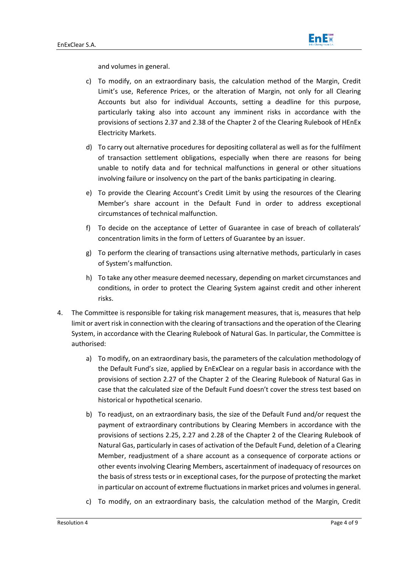

and volumes in general.

- c) To modify, on an extraordinary basis, the calculation method of the Margin, Credit Limit's use, Reference Prices, or the alteration of Margin, not only for all Clearing Accounts but also for individual Accounts, setting a deadline for this purpose, particularly taking also into account any imminent risks in accordance with the provisions of sections 2.37 and 2.38 of the Chapter 2 of the Clearing Rulebook of HEnEx Electricity Markets.
- d) To carry out alternative procedures for depositing collateral as well as for the fulfilment of transaction settlement obligations, especially when there are reasons for being unable to notify data and for technical malfunctions in general or other situations involving failure or insolvency on the part of the banks participating in clearing.
- e) To provide the Clearing Account's Credit Limit by using the resources of the Clearing Member's share account in the Default Fund in order to address exceptional circumstances of technical malfunction.
- f) To decide on the acceptance of Letter of Guarantee in case of breach of collaterals' concentration limits in the form of Letters of Guarantee by an issuer.
- g) To perform the clearing of transactions using alternative methods, particularly in cases of System's malfunction.
- h) To take any other measure deemed necessary, depending on market circumstances and conditions, in order to protect the Clearing System against credit and other inherent risks.
- 4. The Committee is responsible for taking risk management measures, that is, measures that help limit or avert risk in connection with the clearing of transactions and the operation of the Clearing System, in accordance with the Clearing Rulebook of Natural Gas. In particular, the Committee is authorised:
	- a) To modify, on an extraordinary basis, the parameters of the calculation methodology of the Default Fund's size, applied by EnExClear on a regular basis in accordance with the provisions of section 2.27 of the Chapter 2 of the Clearing Rulebook of Natural Gas in case that the calculated size of the Default Fund doesn't cover the stress test based on historical or hypothetical scenario.
	- b) To readjust, on an extraordinary basis, the size of the Default Fund and/or request the payment of extraordinary contributions by Clearing Members in accordance with the provisions of sections 2.25, 2.27 and 2.28 of the Chapter 2 of the Clearing Rulebook of Natural Gas, particularly in cases of activation of the Default Fund, deletion of a Clearing Member, readjustment of a share account as a consequence of corporate actions or other events involving Clearing Members, ascertainment of inadequacy of resources on the basis of stress tests or in exceptional cases, for the purpose of protecting the market in particular on account of extreme fluctuations in market prices and volumes in general.
	- c) To modify, on an extraordinary basis, the calculation method of the Margin, Credit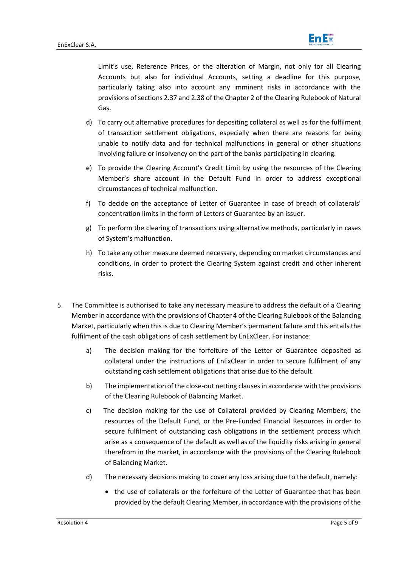

Limit's use, Reference Prices, or the alteration of Margin, not only for all Clearing Accounts but also for individual Accounts, setting a deadline for this purpose, particularly taking also into account any imminent risks in accordance with the provisions ofsections 2.37 and 2.38 of the Chapter 2 of the Clearing Rulebook of Natural Gas.

- d) To carry out alternative procedures for depositing collateral as well as for the fulfilment of transaction settlement obligations, especially when there are reasons for being unable to notify data and for technical malfunctions in general or other situations involving failure or insolvency on the part of the banks participating in clearing.
- e) To provide the Clearing Account's Credit Limit by using the resources of the Clearing Member's share account in the Default Fund in order to address exceptional circumstances of technical malfunction.
- f) To decide on the acceptance of Letter of Guarantee in case of breach of collaterals' concentration limits in the form of Letters of Guarantee by an issuer.
- g) To perform the clearing of transactions using alternative methods, particularly in cases of System's malfunction.
- h) To take any other measure deemed necessary, depending on market circumstances and conditions, in order to protect the Clearing System against credit and other inherent risks.
- 5. The Committee is authorised to take any necessary measure to address the default of a Clearing Member in accordance with the provisions of Chapter 4 of the Clearing Rulebook of the Balancing Market, particularly when this is due to Clearing Member's permanent failure and this entails the fulfilment of the cash obligations of cash settlement by EnExClear. For instance:
	- a) The decision making for the forfeiture of the Letter of Guarantee deposited as collateral under the instructions of EnExClear in order to secure fulfilment of any outstanding cash settlement obligations that arise due to the default.
	- b) The implementation of the close-out netting clauses in accordance with the provisions of the Clearing Rulebook of Balancing Market.
	- c) The decision making for the use of Collateral provided by Clearing Members, the resources of the Default Fund, or the Pre-Funded Financial Resources in order to secure fulfilment of outstanding cash obligations in the settlement process which arise as a consequence of the default as well as of the liquidity risks arising in general therefrom in the market, in accordance with the provisions of the Clearing Rulebook of Balancing Market.
	- d) The necessary decisions making to cover any loss arising due to the default, namely:
		- the use of collaterals or the forfeiture of the Letter of Guarantee that has been provided by the default Clearing Member, in accordance with the provisions of the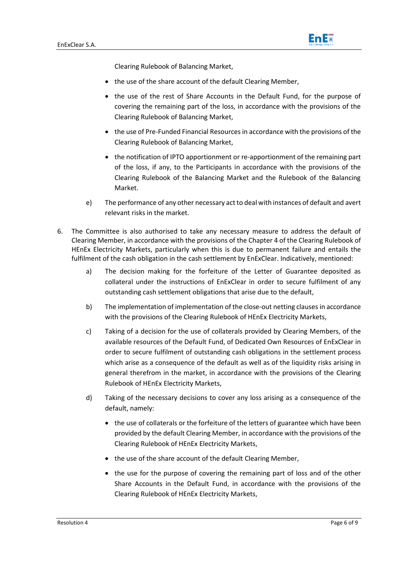

Clearing Rulebook of Balancing Market,

- the use of the share account of the default Clearing Member,
- the use of the rest of Share Accounts in the Default Fund, for the purpose of covering the remaining part of the loss, in accordance with the provisions of the Clearing Rulebook of Balancing Market,
- the use of Pre-Funded Financial Resources in accordance with the provisions of the Clearing Rulebook of Balancing Market,
- the notification of IPTO apportionment or re-apportionment of the remaining part of the loss, if any, to the Participants in accordance with the provisions of the Clearing Rulebook of the Balancing Market and the Rulebook of the Balancing Market.
- e) The performance of any other necessary act to deal with instances of default and avert relevant risks in the market.
- 6. The Committee is also authorised to take any necessary measure to address the default of Clearing Member, in accordance with the provisions of the Chapter 4 of the Clearing Rulebook of HEnEx Electricity Markets, particularly when this is due to permanent failure and entails the fulfilment of the cash obligation in the cash settlement by EnExClear. Indicatively, mentioned:
	- a) The decision making for the forfeiture of the Letter of Guarantee deposited as collateral under the instructions of EnExClear in order to secure fulfilment of any outstanding cash settlement obligations that arise due to the default,
	- b) The implementation of implementation of the close-out netting clauses in accordance with the provisions of the Clearing Rulebook of HEnEx Electricity Markets,
	- c) Taking of a decision for the use of collaterals provided by Clearing Members, of the available resources of the Default Fund, of Dedicated Own Resources of EnExClear in order to secure fulfilment of outstanding cash obligations in the settlement process which arise as a consequence of the default as well as of the liquidity risks arising in general therefrom in the market, in accordance with the provisions of the Clearing Rulebook of HEnEx Electricity Markets,
	- d) Taking of the necessary decisions to cover any loss arising as a consequence of the default, namely:
		- the use of collaterals or the forfeiture of the letters of guarantee which have been provided by the default Clearing Member, in accordance with the provisions of the Clearing Rulebook of HEnEx Electricity Markets,
		- the use of the share account of the default Clearing Member,
		- the use for the purpose of covering the remaining part of loss and of the other Share Accounts in the Default Fund, in accordance with the provisions of the Clearing Rulebook of HEnEx Electricity Markets,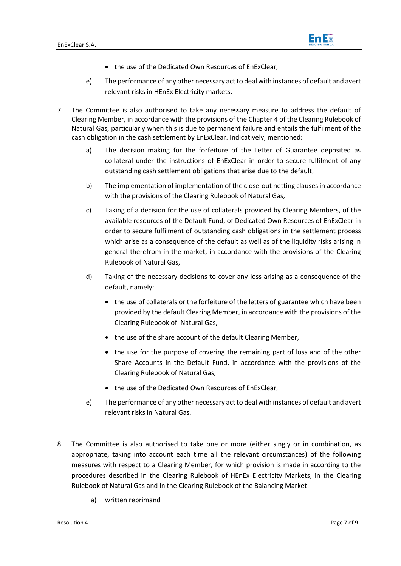

- the use of the Dedicated Own Resources of EnExClear,
- e) The performance of any other necessary act to deal with instances of default and avert relevant risks in HEnEx Electricity markets.
- 7. The Committee is also authorised to take any necessary measure to address the default of Clearing Member, in accordance with the provisions of the Chapter 4 of the Clearing Rulebook of Natural Gas, particularly when this is due to permanent failure and entails the fulfilment of the cash obligation in the cash settlement by EnExClear. Indicatively, mentioned:
	- a) The decision making for the forfeiture of the Letter of Guarantee deposited as collateral under the instructions of EnExClear in order to secure fulfilment of any outstanding cash settlement obligations that arise due to the default,
	- b) The implementation of implementation of the close-out netting clauses in accordance with the provisions of the Clearing Rulebook of Natural Gas,
	- c) Taking of a decision for the use of collaterals provided by Clearing Members, of the available resources of the Default Fund, of Dedicated Own Resources of EnExClear in order to secure fulfilment of outstanding cash obligations in the settlement process which arise as a consequence of the default as well as of the liquidity risks arising in general therefrom in the market, in accordance with the provisions of the Clearing Rulebook of Natural Gas,
	- d) Taking of the necessary decisions to cover any loss arising as a consequence of the default, namely:
		- the use of collaterals or the forfeiture of the letters of guarantee which have been provided by the default Clearing Member, in accordance with the provisions of the Clearing Rulebook of Natural Gas,
		- the use of the share account of the default Clearing Member,
		- the use for the purpose of covering the remaining part of loss and of the other Share Accounts in the Default Fund, in accordance with the provisions of the Clearing Rulebook of Natural Gas,
		- the use of the Dedicated Own Resources of EnExClear,
	- e) The performance of any other necessary act to deal with instances of default and avert relevant risks in Natural Gas.
- 8. The Committee is also authorised to take one or more (either singly or in combination, as appropriate, taking into account each time all the relevant circumstances) of the following measures with respect to a Clearing Member, for which provision is made in according to the procedures described in the Clearing Rulebook of HEnEx Electricity Markets, in the Clearing Rulebook of Natural Gas and in the Clearing Rulebook of the Balancing Market:
	- a) written reprimand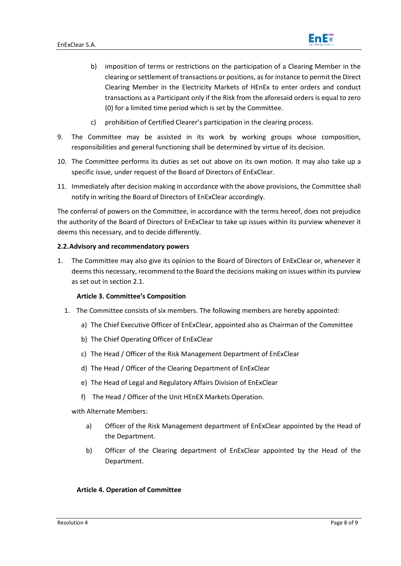

- b) imposition of terms or restrictions on the participation of a Clearing Member in the clearing or settlement of transactions or positions, as for instance to permit the Direct Clearing Member in the Electricity Markets of HEnEx to enter orders and conduct transactions as a Participant only if the Risk from the aforesaid orders is equal to zero (0) for a limited time period which is set by the Committee.
- c) prohibition of Certified Clearer's participation in the clearing process.
- 9. The Committee may be assisted in its work by working groups whose composition, responsibilities and general functioning shall be determined by virtue of its decision.
- 10. The Committee performs its duties as set out above on its own motion. It may also take up a specific issue, under request of the Board of Directors of EnExClear.
- 11. Immediately after decision making in accordance with the above provisions, the Committee shall notify in writing the Board of Directors of EnExClear accordingly.

The conferral of powers on the Committee, in accordance with the terms hereof, does not prejudice the authority of the Board of Directors of EnExClear to take up issues within its purview whenever it deems this necessary, and to decide differently.

#### **2.2.Advisory and recommendatory powers**

1. The Committee may also give its opinion to the Board of Directors of EnExClear or, whenever it deems this necessary, recommend to the Board the decisions making on issues within its purview as set out in section 2.1.

#### **Article 3. Committee's Composition**

- 1. The Committee consists of six members. The following members are hereby appointed:
	- a) The Chief Executive Officer of EnExClear, appointed also as Chairman of the Committee
	- b) The Chief Operating Officer of EnExClear
	- c) The Head / Officer of the Risk Management Department of EnExClear
	- d) The Head / Officer of the Clearing Department of EnExClear
	- e) The Head of Legal and Regulatory Affairs Division of EnExClear
	- f) The Head / Officer of the Unit HEnEX Markets Operation.

with Alternate Members:

- a) Officer of the Risk Management department of EnExClear appointed by the Head of the Department.
- b) Officer of the Clearing department of EnExClear appointed by the Head of the Department.

#### **Article 4. Operation of Committee**